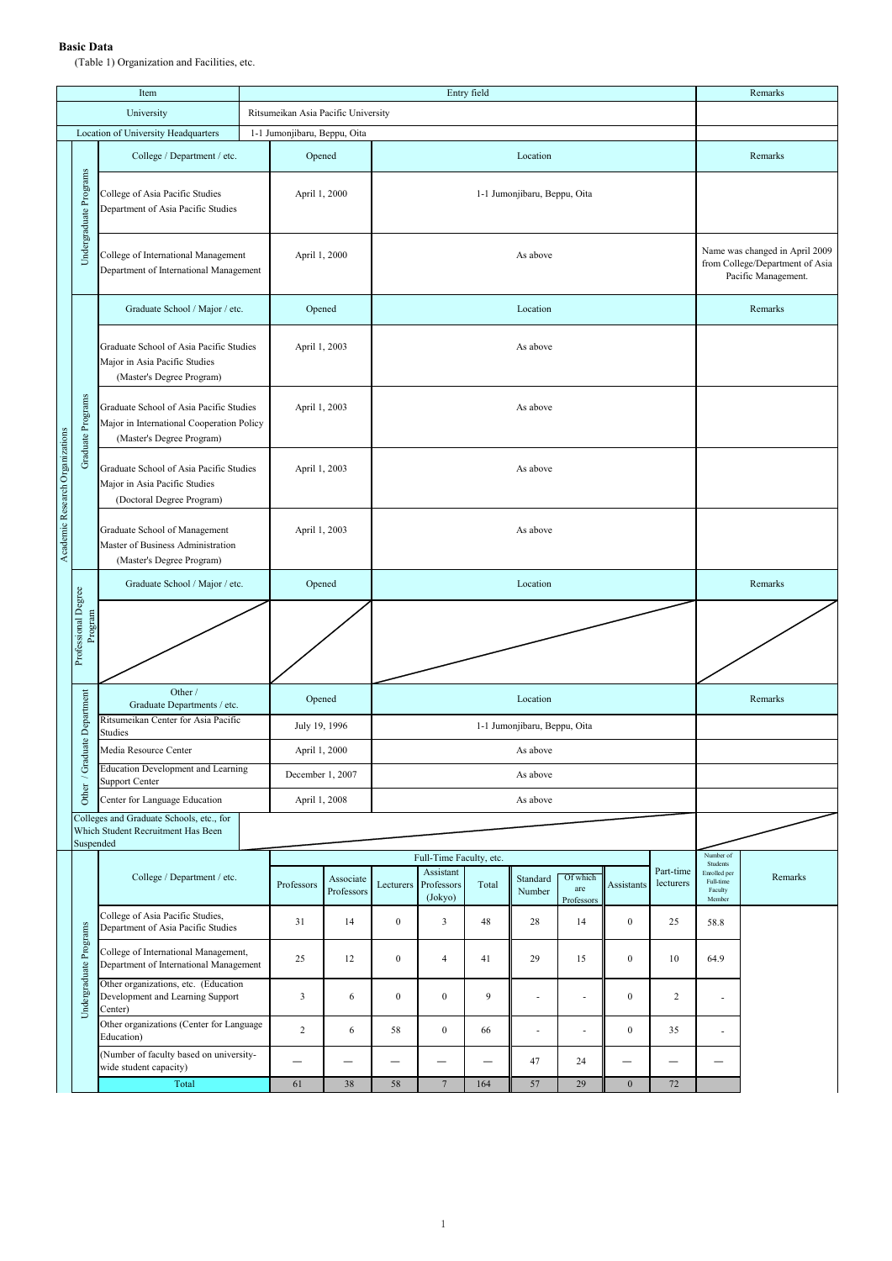## **Basic Data**

(Table 1) Organization and Facilities, etc.

|                                 |                                | Item                                                                                                              |                              | Entry field                         |                         |                          |                                                                                          |           |                    |                               |                  |                        |                                                            | Remarks |
|---------------------------------|--------------------------------|-------------------------------------------------------------------------------------------------------------------|------------------------------|-------------------------------------|-------------------------|--------------------------|------------------------------------------------------------------------------------------|-----------|--------------------|-------------------------------|------------------|------------------------|------------------------------------------------------------|---------|
|                                 |                                | University                                                                                                        |                              | Ritsumeikan Asia Pacific University |                         |                          |                                                                                          |           |                    |                               |                  |                        |                                                            |         |
|                                 |                                | Location of University Headquarters                                                                               | 1-1 Jumonjibaru, Beppu, Oita |                                     |                         |                          |                                                                                          |           |                    |                               |                  |                        |                                                            |         |
|                                 |                                | College / Department / etc.                                                                                       |                              | Opened                              |                         |                          |                                                                                          |           |                    | Remarks                       |                  |                        |                                                            |         |
|                                 | Undergraduate Programs         | College of Asia Pacific Studies<br>Department of Asia Pacific Studies                                             |                              | April 1, 2000                       |                         |                          |                                                                                          |           |                    |                               |                  |                        |                                                            |         |
|                                 |                                | College of International Management<br>Department of International Management                                     | April 1, 2000                |                                     |                         |                          | Name was changed in April 2009<br>from College/Department of Asia<br>Pacific Management. |           |                    |                               |                  |                        |                                                            |         |
|                                 | Graduate Programs              | Graduate School / Major / etc.                                                                                    |                              | Opened                              |                         |                          |                                                                                          |           | Remarks            |                               |                  |                        |                                                            |         |
|                                 |                                | Graduate School of Asia Pacific Studies<br>Major in Asia Pacific Studies<br>(Master's Degree Program)             |                              | April 1, 2003                       | As above                |                          |                                                                                          |           |                    |                               |                  |                        |                                                            |         |
|                                 |                                | Graduate School of Asia Pacific Studies<br>Major in International Cooperation Policy<br>(Master's Degree Program) |                              | April 1, 2003                       |                         |                          |                                                                                          |           |                    |                               |                  |                        |                                                            |         |
| Academic Research Organizations |                                | Graduate School of Asia Pacific Studies<br>Major in Asia Pacific Studies<br>(Doctoral Degree Program)             |                              | April 1, 2003                       |                         |                          |                                                                                          |           |                    |                               |                  |                        |                                                            |         |
|                                 |                                | Graduate School of Management<br>Master of Business Administration<br>(Master's Degree Program)                   |                              | April 1, 2003                       |                         |                          |                                                                                          |           |                    |                               |                  |                        |                                                            |         |
|                                 |                                | Graduate School / Major / etc.                                                                                    |                              | Opened                              |                         |                          |                                                                                          | Remarks   |                    |                               |                  |                        |                                                            |         |
|                                 | Professional Degree<br>Program |                                                                                                                   |                              |                                     |                         |                          |                                                                                          |           |                    |                               |                  |                        |                                                            |         |
|                                 |                                | Other /<br>Graduate Departments / etc.                                                                            |                              | Opened                              |                         |                          |                                                                                          |           | Remarks            |                               |                  |                        |                                                            |         |
|                                 | luate Department               | Ritsumeikan Center for Asia Pacific<br>Studies                                                                    |                              | July 19, 1996                       |                         |                          |                                                                                          |           |                    |                               |                  |                        |                                                            |         |
|                                 |                                | Media Resource Center                                                                                             |                              | April 1, 2000                       |                         |                          |                                                                                          |           |                    |                               |                  |                        |                                                            |         |
|                                 | / Grad                         | <b>Education Development and Learning</b><br>Support Center                                                       |                              | December 1, 2007                    |                         |                          |                                                                                          |           |                    |                               |                  |                        |                                                            |         |
|                                 | Other                          | Center for Language Education                                                                                     | April 1, 2008                |                                     |                         |                          |                                                                                          |           |                    |                               |                  |                        |                                                            |         |
|                                 | Suspended                      | Colleges and Graduate Schools, etc., for<br>Which Student Recruitment Has Been                                    |                              |                                     |                         |                          |                                                                                          |           |                    |                               |                  |                        |                                                            |         |
|                                 |                                |                                                                                                                   |                              |                                     |                         |                          | Full-Time Faculty, etc.                                                                  | Number of |                    |                               |                  |                        |                                                            |         |
|                                 |                                | College / Department / etc.                                                                                       |                              | Professors                          | Associate<br>Professors | Lecturers                | Assistant<br>Professors<br>(Jokyo)                                                       | Total     | Standard<br>Number | Of which<br>are<br>Professors | Assistants       | Part-time<br>lecturers | Students<br>Enrolled per<br>Full-time<br>Faculty<br>Member | Remarks |
|                                 |                                | College of Asia Pacific Studies,<br>Department of Asia Pacific Studies                                            |                              | 31                                  | 14                      | $\boldsymbol{0}$         | 3                                                                                        | 48        | 28                 | 14                            | $\boldsymbol{0}$ | 25                     | 58.8                                                       |         |
|                                 |                                | College of International Management,<br>Department of International Management                                    |                              | 25                                  | 12                      | $\boldsymbol{0}$         | $\overline{4}$                                                                           | 41        | 29                 | 15                            | $\bf{0}$         | 10                     | 64.9                                                       |         |
|                                 | Undergraduate Programs         | Other organizations, etc. (Education<br>Development and Learning Support<br>Center)                               |                              | 3                                   | 6                       | $\boldsymbol{0}$         | $\boldsymbol{0}$                                                                         | 9         | ä,                 | $\overline{a}$                | $\bf{0}$         | 2                      | ÷,                                                         |         |
|                                 |                                | Other organizations (Center for Language<br>Education)                                                            |                              | $\overline{c}$                      | 6                       | 58                       | $\boldsymbol{0}$                                                                         | 66        | ÷                  |                               | $\boldsymbol{0}$ | 35                     | $\overline{a}$                                             |         |
|                                 |                                | (Number of faculty based on university-<br>wide student capacity)                                                 |                              |                                     |                         | $\overline{\phantom{0}}$ | —<br>—                                                                                   |           | 47                 | 24                            |                  |                        |                                                            |         |
|                                 |                                | Total                                                                                                             |                              | 61                                  | 38                      | 58                       | $\boldsymbol{7}$                                                                         | 164       | 57                 | 29                            | $\boldsymbol{0}$ | 72                     |                                                            |         |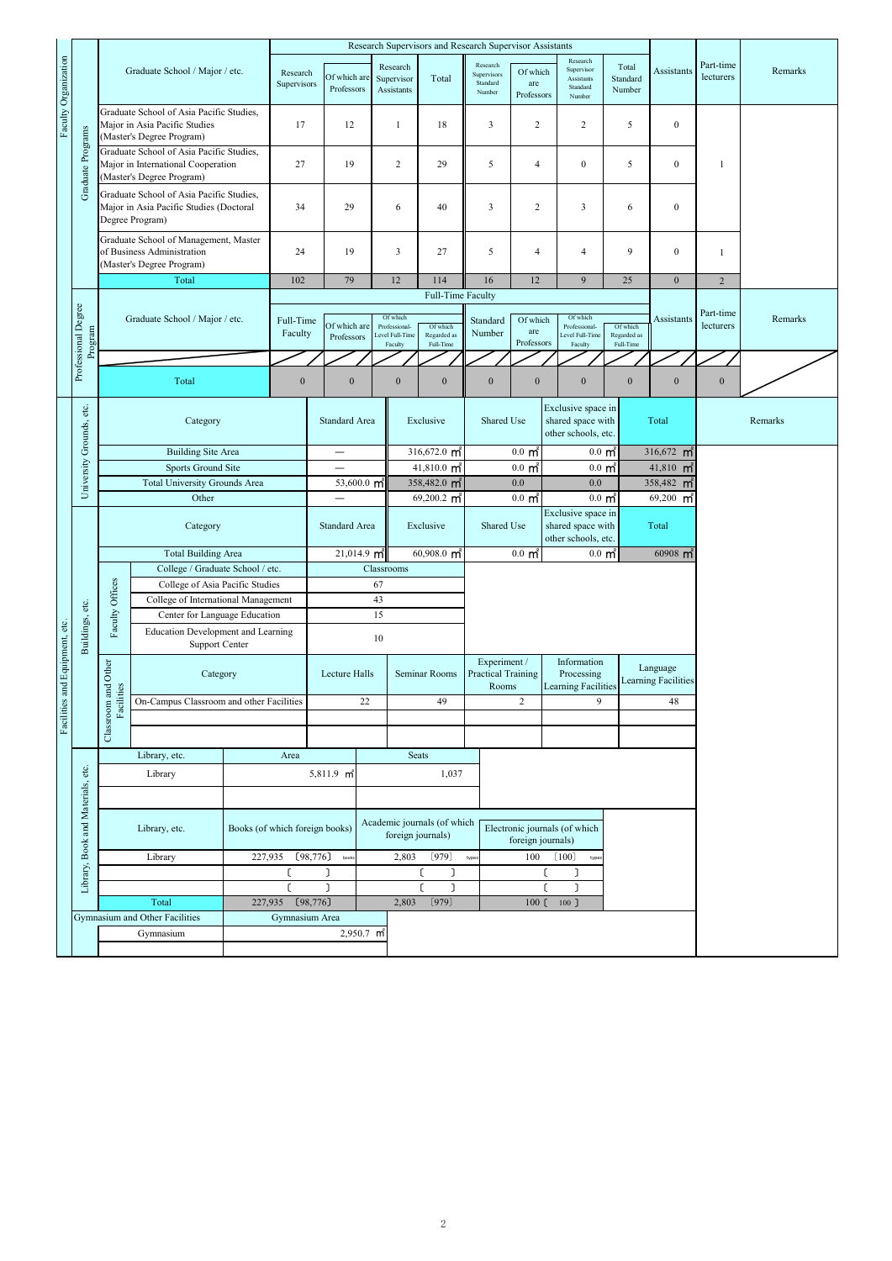|                                |                                   |                                                                                                        |                                                                                                             | Research Supervisors and Research Supervisor Assistants |                                          |                            |                                      |                                                         |                           |                                                    |                                                    |                                                            |                                                                |                                            |                                                    |                                        |                        |         |
|--------------------------------|-----------------------------------|--------------------------------------------------------------------------------------------------------|-------------------------------------------------------------------------------------------------------------|---------------------------------------------------------|------------------------------------------|----------------------------|--------------------------------------|---------------------------------------------------------|---------------------------|----------------------------------------------------|----------------------------------------------------|------------------------------------------------------------|----------------------------------------------------------------|--------------------------------------------|----------------------------------------------------|----------------------------------------|------------------------|---------|
| Faculty Organization           | Graduate Programs                 | Graduate School / Major / etc.                                                                         |                                                                                                             | Research<br>Supervisors                                 |                                          | Of which are<br>Professors | Research<br>Supervisor<br>Assistants |                                                         | Total                     | Research<br>Supervisors<br>Standard<br>Number      | Of which<br>are<br>Professors                      | Research<br>Supervisor<br>Assistants<br>Standard<br>Number |                                                                | Total<br>Standard<br>Number                | Assistants                                         | Part-time<br>lecturers                 | Remarks                |         |
|                                |                                   | Graduate School of Asia Pacific Studies,<br>Major in Asia Pacific Studies<br>(Master's Degree Program) |                                                                                                             | 17                                                      |                                          | 12                         | 1                                    |                                                         | 18                        | $\overline{\mathbf{3}}$                            | 2                                                  | $\overline{c}$                                             |                                                                | 5                                          | $\boldsymbol{0}$                                   |                                        |                        |         |
|                                |                                   |                                                                                                        | Graduate School of Asia Pacific Studies,<br>Major in International Cooperation<br>(Master's Degree Program) |                                                         | 27                                       |                            | 19                                   |                                                         | $\sqrt{2}$                | 29                                                 | 5                                                  | $\overline{4}$                                             | $\boldsymbol{0}$                                               |                                            | 5                                                  | $\boldsymbol{0}$                       | 1                      |         |
|                                |                                   |                                                                                                        | Graduate School of Asia Pacific Studies,<br>Major in Asia Pacific Studies (Doctoral<br>Degree Program)      |                                                         | 34                                       |                            | 29                                   |                                                         | 6                         | 40                                                 | 3                                                  | $\overline{c}$                                             | $\overline{\mathbf{3}}$                                        |                                            | 6                                                  | $\boldsymbol{0}$                       |                        |         |
|                                |                                   | Graduate School of Management, Master<br>of Business Administration<br>(Master's Degree Program)       |                                                                                                             | 24                                                      |                                          | 19                         | $\mathbf{3}$                         |                                                         | 27                        | 5                                                  | $\overline{4}$                                     | $\overline{4}$                                             |                                                                | 9                                          | $\boldsymbol{0}$                                   | $\mathbf{1}$                           |                        |         |
|                                |                                   | Total                                                                                                  |                                                                                                             |                                                         | 102                                      |                            | 79                                   | 12                                                      |                           | 114                                                | 16                                                 | 12                                                         |                                                                | 9                                          |                                                    | $\boldsymbol{0}$                       | $\overline{2}$         |         |
|                                |                                   | Graduate School / Major / etc.                                                                         |                                                                                                             |                                                         |                                          |                            |                                      |                                                         |                           | Full-Time Faculty                                  |                                                    |                                                            |                                                                |                                            |                                                    |                                        | Part-time<br>lecturers |         |
|                                | Professional Degree<br>Program    |                                                                                                        |                                                                                                             |                                                         | Full-Time<br>Faculty                     |                            | Of which are<br>Professors           | Of which<br>Professional-<br>Level Full-Time<br>Faculty |                           | Of which<br>Regarded as<br>Full-Time               | Standard<br>Number                                 | Of which<br>are<br>Professors                              | Of which<br>Professional-<br>evel Full-Time<br>Faculty         |                                            | Assistants<br>Of which<br>Regarded as<br>Full-Time |                                        |                        | Remarks |
|                                |                                   |                                                                                                        |                                                                                                             |                                                         |                                          |                            |                                      |                                                         |                           |                                                    |                                                    |                                                            |                                                                |                                            |                                                    |                                        |                        |         |
|                                |                                   | Total                                                                                                  |                                                                                                             | $\boldsymbol{0}$                                        |                                          | $\boldsymbol{0}$           |                                      | $\boldsymbol{0}$                                        | $\boldsymbol{0}$          | $\boldsymbol{0}$                                   | $\boldsymbol{0}$                                   | $\boldsymbol{0}$                                           |                                                                | $\boldsymbol{0}$                           | $\boldsymbol{0}$                                   | $\boldsymbol{0}$                       |                        |         |
|                                | University Grounds, etc.          |                                                                                                        | Category                                                                                                    |                                                         |                                          | <b>Standard Area</b>       |                                      | Exclusive                                               |                           |                                                    | Shared Use                                         |                                                            | Exclusive space in<br>shared space with<br>other schools, etc. | Total                                      |                                                    |                                        | Remarks                |         |
|                                |                                   | <b>Building Site Area</b>                                                                              |                                                                                                             |                                                         |                                          | $\overline{\phantom{0}}$   |                                      |                                                         | 316,672.0 $\mathsf{m}^2$  |                                                    |                                                    | $0.0 \text{ m}$                                            |                                                                | $0.0\,$ m <sup><math>\dot{\ }</math></sup> |                                                    | 316,672 $m^2$                          |                        |         |
|                                |                                   | Sports Ground Site                                                                                     |                                                                                                             |                                                         |                                          |                            |                                      |                                                         | $41,810.0$ m <sup>2</sup> |                                                    |                                                    | $0.0 \text{ m}^2$                                          |                                                                | $0.0 \text{ m}^2$                          |                                                    | $41,810$ m <sup>2</sup>                |                        |         |
|                                |                                   | <b>Total University Grounds Area</b>                                                                   |                                                                                                             |                                                         |                                          | 53,600.0 $\mathsf{m}^2$    |                                      |                                                         | 358,482.0 m <sup>2</sup>  |                                                    |                                                    | 0.0                                                        |                                                                | 0.0                                        |                                                    | 358,482 m                              |                        |         |
|                                |                                   | Other                                                                                                  |                                                                                                             |                                                         |                                          |                            |                                      |                                                         | $69,200.2$ m <sup>2</sup> |                                                    |                                                    | $0.0 \text{ m}^2$                                          |                                                                | $0.0 \text{ m}^2$                          |                                                    | $69,200$ m <sup>2</sup>                |                        |         |
|                                |                                   | Category                                                                                               |                                                                                                             |                                                         |                                          | Standard Area              |                                      |                                                         | Exclusive                 |                                                    |                                                    | Shared Use<br>shared space with<br>other schools, etc.     |                                                                | Exclusive space in                         | Total                                              |                                        |                        |         |
|                                |                                   |                                                                                                        | <b>Total Building Area</b>                                                                                  |                                                         |                                          |                            | $21,014.9$ m <sup>2</sup>            |                                                         |                           | $60,908.0$ m <sup>2</sup>                          |                                                    | $0.0 \text{ m}^2$                                          |                                                                | $0.0 \text{ m}^2$                          |                                                    | $60908$ m <sup>2</sup>                 |                        |         |
|                                |                                   |                                                                                                        | College / Graduate School / etc.                                                                            |                                                         |                                          |                            | Classrooms                           |                                                         |                           |                                                    |                                                    |                                                            |                                                                |                                            |                                                    |                                        |                        |         |
|                                |                                   |                                                                                                        | College of Asia Pacific Studies<br>College of International Management                                      |                                                         |                                          |                            |                                      | 67                                                      |                           |                                                    |                                                    |                                                            |                                                                |                                            |                                                    |                                        |                        |         |
|                                |                                   |                                                                                                        | Center for Language Education                                                                               |                                                         | 43<br>15                                 |                            |                                      |                                                         |                           |                                                    |                                                    |                                                            |                                                                |                                            |                                                    |                                        |                        |         |
|                                |                                   | Faculty Offices                                                                                        | Education Development and Learning                                                                          |                                                         |                                          |                            |                                      |                                                         |                           |                                                    |                                                    |                                                            |                                                                |                                            |                                                    |                                        |                        |         |
|                                | Buildings, etc.                   |                                                                                                        | Support Center                                                                                              |                                                         |                                          |                            |                                      | 10                                                      |                           |                                                    |                                                    |                                                            |                                                                |                                            |                                                    |                                        |                        |         |
| Facilities and Equipment, etc. |                                   | Classroom and Other                                                                                    |                                                                                                             | Category                                                |                                          |                            | Lecture Halls                        |                                                         |                           | Seminar Rooms                                      | Experiment /<br><b>Practical Training</b><br>Rooms |                                                            | Information<br>Processing<br><b>Learning Facilities</b>        |                                            |                                                    | Language<br><b>Learning Facilities</b> |                        |         |
|                                |                                   |                                                                                                        | acilities<br>On-Campus Classroom and other Facilities                                                       |                                                         |                                          |                            |                                      | 22                                                      |                           | 49                                                 |                                                    | $\overline{c}$                                             |                                                                | 9                                          |                                                    | 48                                     |                        |         |
|                                |                                   | Fa                                                                                                     |                                                                                                             |                                                         |                                          |                            |                                      |                                                         |                           |                                                    |                                                    |                                                            |                                                                |                                            |                                                    |                                        |                        |         |
|                                | Library, Book and Materials, etc. |                                                                                                        | Library, etc.<br>Area                                                                                       |                                                         |                                          |                            |                                      |                                                         | <b>Seats</b>              |                                                    |                                                    |                                                            |                                                                |                                            |                                                    |                                        |                        |         |
|                                |                                   |                                                                                                        | Library                                                                                                     |                                                         |                                          | 5,811.9 m <sup>2</sup>     |                                      |                                                         | 1,037                     |                                                    |                                                    |                                                            |                                                                |                                            |                                                    |                                        |                        |         |
|                                |                                   |                                                                                                        |                                                                                                             |                                                         |                                          |                            |                                      |                                                         |                           |                                                    |                                                    |                                                            |                                                                |                                            |                                                    |                                        |                        |         |
|                                |                                   | Library, etc.                                                                                          |                                                                                                             |                                                         | Books (of which foreign books)           |                            |                                      | Academic journals (of which<br>foreign journals)        |                           | Electronic journals (of which<br>foreign journals) |                                                    |                                                            |                                                                |                                            |                                                    |                                        |                        |         |
|                                |                                   | Library<br>227,935                                                                                     |                                                                                                             |                                                         | [98, 776]                                |                            | book                                 | 2,803                                                   |                           | (979)                                              | typer                                              | 100                                                        |                                                                | (100)<br>type                              |                                                    |                                        |                        |         |
|                                |                                   |                                                                                                        |                                                                                                             |                                                         | ſ                                        |                            |                                      |                                                         |                           | ſ<br>٦                                             |                                                    |                                                            |                                                                |                                            |                                                    |                                        |                        |         |
|                                |                                   |                                                                                                        |                                                                                                             |                                                         |                                          |                            |                                      |                                                         | ו                         |                                                    |                                                    | L                                                          |                                                                |                                            |                                                    |                                        |                        |         |
|                                |                                   | 227,935<br>Total                                                                                       |                                                                                                             |                                                         |                                          | [98, 776]                  |                                      |                                                         | 2,803                     | (979)                                              |                                                    | 100 <sub>l</sub>                                           | $100$ $\overline{\phantom{0}}$                                 |                                            |                                                    |                                        |                        |         |
|                                |                                   | Gymnasium and Other Facilities<br>Gymnasium                                                            |                                                                                                             |                                                         | Gymnasium Area<br>2,950.7 m <sup>2</sup> |                            |                                      |                                                         |                           |                                                    |                                                    |                                                            |                                                                |                                            |                                                    |                                        |                        |         |
|                                |                                   |                                                                                                        |                                                                                                             |                                                         |                                          |                            |                                      |                                                         |                           |                                                    |                                                    |                                                            |                                                                |                                            |                                                    |                                        |                        |         |